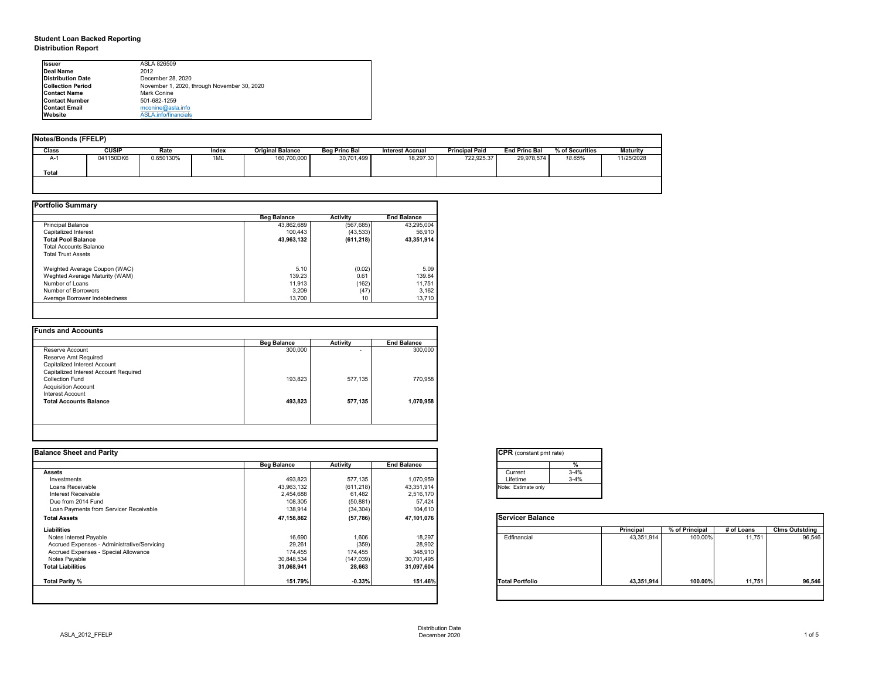## **Student Loan Backed Reporting Distribution Report**

| Notes/Bonds (FFELP) |              |           |       |                         |                      |                         |                       |                      |                 |                 |
|---------------------|--------------|-----------|-------|-------------------------|----------------------|-------------------------|-----------------------|----------------------|-----------------|-----------------|
| Class               | <b>CUSIP</b> | Rate      | Index | <b>Original Balance</b> | <b>Beg Princ Bal</b> | <b>Interest Accrual</b> | <b>Principal Paid</b> | <b>End Princ Bal</b> | % of Securities | <b>Maturity</b> |
| A-1                 | 041150DK6    | 0.650130% | 1ML   | 160,700,000             | 30,701,499           | 18,297.30               | 722,925.37            | 29,978,574           | 18.65%          | 11/25/2028      |
| <b>Total</b>        |              |           |       |                         |                      |                         |                       |                      |                 |                 |
|                     |              |           |       |                         |                      |                         |                       |                      |                 |                 |

|                                | <b>Beg Balance</b> | <b>Activity</b> | <b>End Balance</b> |
|--------------------------------|--------------------|-----------------|--------------------|
| <b>Principal Balance</b>       | 43,862,689         | (567, 685)      | 43,295,004         |
| Capitalized Interest           | 100,443            | (43, 533)       | 56,910             |
| <b>Total Pool Balance</b>      | 43,963,132         | (611, 218)      | 43,351,914         |
| <b>Total Accounts Balance</b>  |                    |                 |                    |
| <b>Total Trust Assets</b>      |                    |                 |                    |
| Weighted Average Coupon (WAC)  | 5.10               | (0.02)          | 5.09               |
| Weghted Average Maturity (WAM) | 139.23             | 0.61            | 139.84             |
| Number of Loans                | 11,913             | (162)           | 11,751             |
| Number of Borrowers            | 3,209              | (47)            | 3,162              |
| Average Borrower Indebtedness  | 13,700             | 10              | 13,710             |

|                                       | <b>Beg Balance</b> | <b>Activity</b>          | <b>End Balance</b> |
|---------------------------------------|--------------------|--------------------------|--------------------|
| Reserve Account                       | 300,000            | $\overline{\phantom{0}}$ | 300,000            |
| Reserve Amt Required                  |                    |                          |                    |
| Capitalized Interest Account          |                    |                          |                    |
| Capitalized Interest Account Required |                    |                          |                    |
| <b>Collection Fund</b>                | 193,823            | 577,135                  | 770,958            |
| <b>Acquisition Account</b>            |                    |                          |                    |
| Interest Account                      |                    |                          |                    |
| <b>Total Accounts Balance</b>         | 493,823            | 577,135                  | 1,070,958          |
|                                       |                    |                          |                    |

| tant pmt rate) |          |  |  |  |  |  |  |
|----------------|----------|--|--|--|--|--|--|
|                | %        |  |  |  |  |  |  |
|                | $3 - 4%$ |  |  |  |  |  |  |
|                | $3 - 4%$ |  |  |  |  |  |  |
| te only        |          |  |  |  |  |  |  |
|                |          |  |  |  |  |  |  |

|      | Principal  | % of Principal | # of Loans | <b>Clms Outstding</b> |
|------|------------|----------------|------------|-----------------------|
| al   | 43,351,914 | 100.00%        | 11,751     | 96,546                |
| olio | 43,351,914 | 100.00%        | 11,751     | 96,546                |

| <b>Ilssuer</b>           | ASLA 826509                                 |  |  |  |  |  |  |
|--------------------------|---------------------------------------------|--|--|--|--|--|--|
| Deal Name                | 2012                                        |  |  |  |  |  |  |
| <b>Distribution Date</b> | December 28, 2020                           |  |  |  |  |  |  |
| <b>Collection Period</b> | November 1, 2020, through November 30, 2020 |  |  |  |  |  |  |
| <b>Contact Name</b>      | <b>Mark Conine</b>                          |  |  |  |  |  |  |
| <b>Contact Number</b>    | 501-682-1259                                |  |  |  |  |  |  |
| <b>Contact Email</b>     | mconine@asla.info                           |  |  |  |  |  |  |
| <b>IWebsite</b>          | ASLA.info/financials                        |  |  |  |  |  |  |

|                    |                 |                    | <b>CPR</b> (constant pmt rate) |                  |                |            |                       |
|--------------------|-----------------|--------------------|--------------------------------|------------------|----------------|------------|-----------------------|
| <b>Beg Balance</b> | <b>Activity</b> | <b>End Balance</b> | %                              |                  |                |            |                       |
|                    |                 |                    | $3 - 4%$<br>Current            |                  |                |            |                       |
| 493,823            | 577,135         | 1,070,959          | $3 - 4%$<br>Lifetime           |                  |                |            |                       |
| 43,963,132         | (611, 218)      | 43,351,914         | Note: Estimate only            |                  |                |            |                       |
| 2,454,688          | 61,482          | 2,516,170          |                                |                  |                |            |                       |
|                    |                 |                    |                                |                  |                |            |                       |
| 138,914            | (34, 304)       | 104,610            |                                |                  |                |            |                       |
| 47,158,862         | (57, 786)       | 47,101,076         | <b>Servicer Balance</b>        |                  |                |            |                       |
|                    |                 |                    |                                | <b>Principal</b> | % of Principal | # of Loans | <b>Clms Outstding</b> |
| 16,690             | 1,606           | 18,297             | Edfinancial                    | 43,351,914       | 100.00%        | 11,751     | 96,546                |
| 29,261             |                 | 28,902             |                                |                  |                |            |                       |
| 174,455            | 174,455         | 348,910            |                                |                  |                |            |                       |
| 30,848,534         | (147, 039)      | 30,701,495         |                                |                  |                |            |                       |
| 31,068,941         | 28,663          | 31,097,604         |                                |                  |                |            |                       |
| 151.79%            | $-0.33%$        | 151.46%            | <b>Total Portfolio</b>         | 43,351,914       | 100.00%        | 11,751     | 96,546                |
|                    | 108,305         | (50, 881)<br>(359) | 57,424                         |                  |                |            |                       |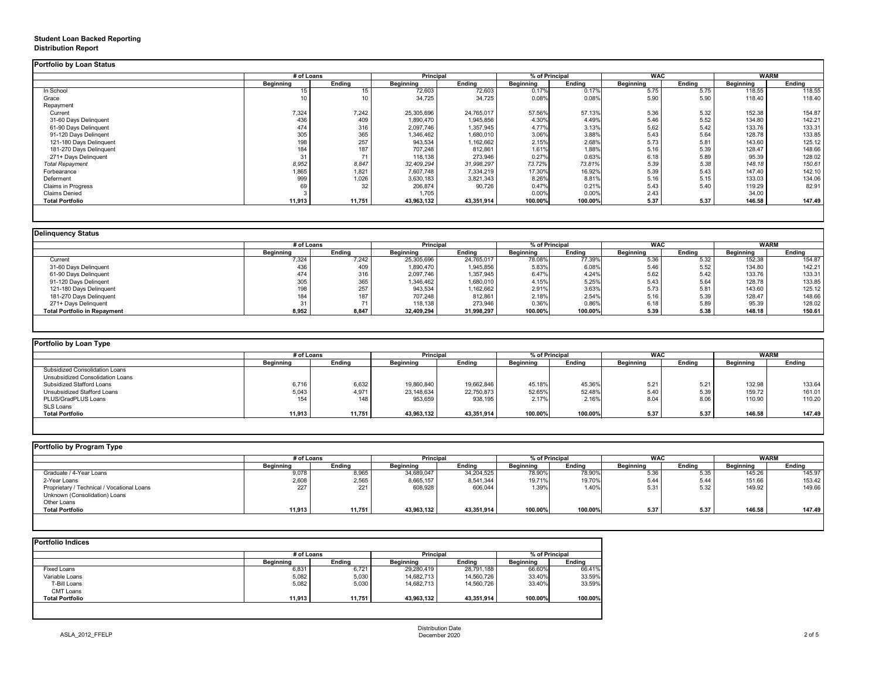## **Student Loan Backed Reporting Distribution Report**

| <b>Portfolio by Loan Status</b> |                  |               |                  |               |                  |               |                  |               |                  |               |
|---------------------------------|------------------|---------------|------------------|---------------|------------------|---------------|------------------|---------------|------------------|---------------|
|                                 | # of Loans       |               | <b>Principal</b> |               | % of Principal   |               | <b>WAC</b>       |               | <b>WARM</b>      |               |
|                                 | <b>Beginning</b> | <b>Ending</b> | <b>Beginning</b> | <b>Ending</b> | <b>Beginning</b> | <b>Ending</b> | <b>Beginning</b> | <b>Ending</b> | <b>Beginning</b> | <b>Ending</b> |
| In School                       | 15               |               | 72,603           | 72,603        | 0.17%            | 0.17%         | 5.75             | 5.75          | 118.55           | 118.55        |
| Grace                           | 10               |               | 34,725           | 34,725        | 0.08%            | 0.08%         | 5.90             | 5.90          | 118.40           | 118.40        |
| Repayment                       |                  |               |                  |               |                  |               |                  |               |                  |               |
| Current                         | 7,324            | 7,242         | 25,305,696       | 24,765,017    | 57.56%           | 57.13%        | 5.36             | 5.32          | 152.38           | 154.87        |
| 31-60 Days Delinquent           | 436              | 409           | 1,890,470        | 1,945,856     | 4.30%            | 4.49%         | 5.46             | 5.52          | 134.80           | 142.21        |
| 61-90 Days Delinquent           | 474              | 316           | 2,097,746        | 1,357,945     | 4.77%            | 3.13%         | 5.62             | 5.42          | 133.76           | 133.31        |
| 91-120 Days Delingent           | 305              | 365           | 1,346,462        | 1,680,010     | 3.06%            | 3.88%         | 5.43             | 5.64          | 128.78           | 133.85        |
| 121-180 Days Delinquent         | 198              | 257           | 943,534          | 1,162,662     | 2.15%            | 2.68%         | 5.73             | 5.81          | 143.60           | 125.12        |
| 181-270 Days Delinquent         | 184              | 187           | 707,248          | 812,861       | 1.61%            | 1.88%         | 5.16             | 5.39          | 128.47           | 148.66        |
| 271+ Days Delinquent            | 31               | 71            | 118,138          | 273,946       | 0.27%            | 0.63%         | 6.18             | 5.89          | 95.39            | 128.02        |
| <b>Total Repayment</b>          | 8,952            | 8,847         | 32,409,294       | 31,998,297    | 73.72%           | 73.81%        | 5.39             | 5.38          | 148.18           | 150.61        |
| Forbearance                     | 1,865            | 1,821         | 7,607,748        | 7,334,219     | 17.30%           | 16.92%        | 5.39             | 5.43          | 147.40           | 142.10        |
| Deferment                       | 999              | 1,026         | 3,630,183        | 3,821,343     | 8.26%            | 8.81%         | 5.16             | 5.15          | 133.03           | 134.06        |
| <b>Claims in Progress</b>       | 69               | 32            | 206,874          | 90,726        | 0.47%            | 0.21%         | 5.43             | 5.40          | 119.29           | 82.91         |
| <b>Claims Denied</b>            |                  |               | 1,705            |               | 0.00%            | 0.00%         | 2.43             |               | 34.00            |               |
| <b>Total Portfolio</b>          | 11,913           | 11,751        | 43,963,132       | 43,351,914    | 100.00%          | 100.00%       | 5.37             | 5.37          | 146.58           | 147.49        |
|                                 |                  |               |                  |               |                  |               |                  |               |                  |               |

| <b>Delinquency Status</b>           |                  |                          |                  |               |                  |               |                  |               |                  |               |  |
|-------------------------------------|------------------|--------------------------|------------------|---------------|------------------|---------------|------------------|---------------|------------------|---------------|--|
|                                     | # of Loans       |                          | <b>Principal</b> |               | % of Principal   |               | <b>WAC</b>       |               |                  | <b>WARM</b>   |  |
|                                     | <b>Beginning</b> | <b>Ending</b>            | <b>Beginning</b> | <b>Ending</b> | <b>Beginning</b> | <b>Ending</b> | <b>Beginning</b> | <b>Ending</b> | <b>Beginning</b> | <b>Ending</b> |  |
| Current                             | 7,324            | 7,242                    | 25,305,696       | 24,765,017    | 78.08%           | 77.39%        | 5.36             | 5.32          | 152.38           | 154.87        |  |
| 31-60 Days Delinquent               | 436              | 409                      | 1,890,470        | 1,945,856     | 5.83%            | 6.08%         | 5.46             | 5.52          | 134.80           | 142.21        |  |
| 61-90 Days Delinquent               | 474              | 316                      | 2,097,746        | 1,357,945     | 6.47%            | 4.24%         | 5.62             | 5.42          | 133.76           | 133.31        |  |
| 91-120 Days Delingent               | 305              | 365                      | 1,346,462        | 1,680,010     | 4.15%            | 5.25%         | 5.43             | 5.64          | 128.78           | 133.85        |  |
| 121-180 Days Delinquent             | 198              | 257                      | 943,534          | 1,162,662     | 2.91%            | 3.63%         | 5.73             | 5.81          | 143.60           | 125.12        |  |
| 181-270 Days Delinquent             | 184              | 187                      | 707,248          | 812,861       | 2.18%            | 2.54%         | 5.16             | 5.39          | 128.47           | 148.66        |  |
| 271+ Days Delinquent                |                  | $\overline{\phantom{a}}$ | 118,138          | 273,946       | 0.36%            | 0.86%         | 6.18             | 5.89          | 95.39            | 128.02        |  |
| <b>Total Portfolio in Repayment</b> | 8,952            | 8,847                    | 32,409,294       | 31,998,297    | 100.00%          | 100.00%       | 5.39             | 5.38          | 148.18           | 150.61        |  |
|                                     |                  |                          |                  |               |                  |               |                  |               |                  |               |  |

| <b>Portfolio by Loan Type</b>         |                  |               |                  |               |                  |               |                  |               |                  |               |
|---------------------------------------|------------------|---------------|------------------|---------------|------------------|---------------|------------------|---------------|------------------|---------------|
|                                       | # of Loans       |               | <b>Principal</b> |               | % of Principal   |               | <b>WAC</b>       |               | <b>WARM</b>      |               |
|                                       | <b>Beginning</b> | <b>Ending</b> | <b>Beginning</b> | <b>Ending</b> | <b>Beginning</b> | <b>Ending</b> | <b>Beginning</b> | <b>Ending</b> | <b>Beginning</b> | <b>Ending</b> |
| <b>Subsidized Consolidation Loans</b> |                  |               |                  |               |                  |               |                  |               |                  |               |
| Unsubsidized Consolidation Loans      |                  |               |                  |               |                  |               |                  |               |                  |               |
| Subsidized Stafford Loans             | 6,716            | 6,632         | 19,860,840       | 19,662,846    | 45.18%           | 45.36%        | 5.21             | 5.21          | 132.98           | 133.64        |
| Unsubsidized Stafford Loans           | 5,043            | 4,971         | 23,148,634       | 22,750,873    | 52.65%           | 52.48%        | 5.40             | 5.39          | 159.72           | 161.01        |
| PLUS/GradPLUS Loans                   | 154              | 148           | 953,659          | 938,195       | 2.17%            | 2.16%         | 8.04             | 8.06          | 110.90           | 110.20        |
| <b>SLS Loans</b>                      |                  |               |                  |               |                  |               |                  |               |                  |               |
| <b>Total Portfolio</b>                | 11,913           | 11,751        | 43,963,132       | 43,351,914    | 100.00%          | 100.00%       | 5.37             | 5.37          | 146.58           | 147.49        |

|  |  |  | Portfolio by Program Type |  |
|--|--|--|---------------------------|--|
|--|--|--|---------------------------|--|

| Portfolio by Program Type                  |                  |               |                  |               |                |               |                  |               |                  |               |
|--------------------------------------------|------------------|---------------|------------------|---------------|----------------|---------------|------------------|---------------|------------------|---------------|
|                                            | # of Loans       |               | <b>Principal</b> |               | % of Principal |               | <b>WAC</b>       |               | <b>WARM</b>      |               |
|                                            | <b>Beginning</b> | <b>Ending</b> | <b>Beginning</b> | <b>Ending</b> | Beginning      | <b>Ending</b> | <b>Beginning</b> | <b>Ending</b> | <b>Beginning</b> | <b>Ending</b> |
| Graduate / 4-Year Loans                    | 9,078            | 8,965         | 34,689,047       | 34,204,525    | 78.90%         | 78.90%        | 5.36             | 5.35          | 145.26           | 145.97        |
| 2-Year Loans                               | 2,608            | 2,565         | 8,665,157        | 8,541,344     | 19.71%         | 19.70%        | 5.44             | 5.44          | 151.66           | 153.42        |
| Proprietary / Technical / Vocational Loans | 227              | 221           | 608,928          | 606,044       | 1.39%          | 1.40%         | 5.31             | 5.32          | 149.92           | 149.66        |
| Unknown (Consolidation) Loans              |                  |               |                  |               |                |               |                  |               |                  |               |
| Other Loans                                |                  |               |                  |               |                |               |                  |               |                  |               |
| <b>Total Portfolio</b>                     | 11,913           | 11,751        | 43,963,132       | 43,351,914    | 100.00%        | 100.00%       | 5.37             | 5.37          | 146.58           | 147.49        |
|                                            |                  |               |                  |               |                |               |                  |               |                  |               |

|                        |                  | # of Loans    |                  | <b>Principal</b> |                  | % of Principal |  |
|------------------------|------------------|---------------|------------------|------------------|------------------|----------------|--|
|                        | <b>Beginning</b> | <b>Ending</b> | <b>Beginning</b> | <b>Ending</b>    | <b>Beginning</b> | <b>Ending</b>  |  |
| <b>Fixed Loans</b>     | 6,831            | 6,721         | 29,280,419       | 28,791,188       | 66.60%           | 66.41%         |  |
| Variable Loans         | 5,082            | 5,030         | 14,682,713       | 14,560,726       | 33.40%           | 33.59%         |  |
| T-Bill Loans           | 5,082            | 5,030         | 14,682,713       | 14,560,726       | 33.40%           | 33.59%         |  |
| <b>CMT Loans</b>       |                  |               |                  |                  |                  |                |  |
| <b>Total Portfolio</b> | 11,913           | 11,751        | 43,963,132       | 43,351,914       | 100.00%          | 100.00%        |  |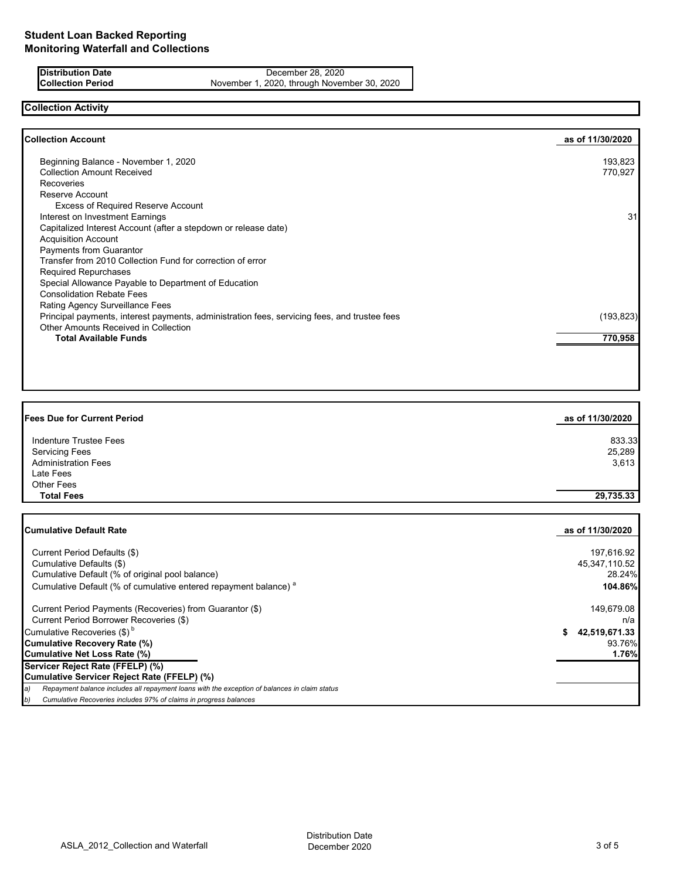**Distribution Date** December 28, 2020<br> **Collection Period** November 1, 2020, through Novem November 1, 2020, through November 30, 2020

# **Collection Activity**

| <b>Collection Account</b>                                                                    | as of 11/30/2020 |
|----------------------------------------------------------------------------------------------|------------------|
| Beginning Balance - November 1, 2020                                                         | 193,823          |
| <b>Collection Amount Received</b>                                                            | 770,927          |
| Recoveries                                                                                   |                  |
| Reserve Account                                                                              |                  |
| <b>Excess of Required Reserve Account</b>                                                    |                  |
| Interest on Investment Earnings                                                              | 31               |
| Capitalized Interest Account (after a stepdown or release date)                              |                  |
| <b>Acquisition Account</b>                                                                   |                  |
| Payments from Guarantor                                                                      |                  |
| Transfer from 2010 Collection Fund for correction of error                                   |                  |
| <b>Required Repurchases</b>                                                                  |                  |
| Special Allowance Payable to Department of Education                                         |                  |
| <b>Consolidation Rebate Fees</b>                                                             |                  |
| Rating Agency Surveillance Fees                                                              |                  |
| Principal payments, interest payments, administration fees, servicing fees, and trustee fees | (193, 823)       |
| <b>Other Amounts Received in Collection</b>                                                  |                  |
| <b>Total Available Funds</b>                                                                 | 770,958          |
|                                                                                              |                  |

| <b>Fees Due for Current Period</b> | as of 11/30/2020 |
|------------------------------------|------------------|
| Indenture Trustee Fees             | 833.33           |
| <b>Servicing Fees</b>              | 25,289           |
| <b>Administration Fees</b>         | 3,613            |
| Late Fees                          |                  |
| <b>Other Fees</b>                  |                  |
| <b>Total Fees</b>                  | 29,735.33        |
|                                    |                  |

| Cumulative Default Rate                                                                             | as of 11/30/2020   |
|-----------------------------------------------------------------------------------------------------|--------------------|
| Current Period Defaults (\$)                                                                        | 197,616.92         |
| Cumulative Defaults (\$)                                                                            | 45,347,110.52      |
| Cumulative Default (% of original pool balance)                                                     | 28.24%             |
| Cumulative Default (% of cumulative entered repayment balance) <sup>a</sup>                         | 104.86%            |
| Current Period Payments (Recoveries) from Guarantor (\$)                                            | 149,679.08         |
| Current Period Borrower Recoveries (\$)                                                             | n/a                |
| Cumulative Recoveries $(\$)^b$                                                                      | 42,519,671.33<br>S |
| Cumulative Recovery Rate (%)                                                                        | 93.76%             |
| Cumulative Net Loss Rate (%)                                                                        | 1.76%              |
| Servicer Reject Rate (FFELP) (%)                                                                    |                    |
| Cumulative Servicer Reject Rate (FFELP) (%)                                                         |                    |
| Repayment balance includes all repayment loans with the exception of balances in claim status<br>a) |                    |
| Cumulative Recoveries includes 97% of claims in progress balances<br>b)                             |                    |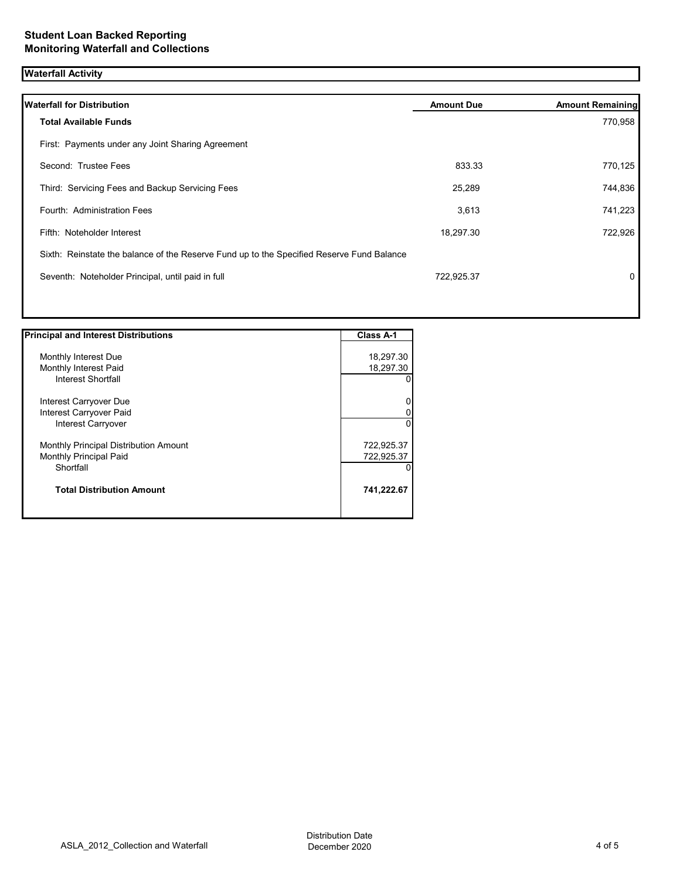## **Waterfall Activity**

| <b>Waterfall for Distribution</b>                                                         | <b>Amount Due</b> | <b>Amount Remaining</b> |
|-------------------------------------------------------------------------------------------|-------------------|-------------------------|
| <b>Total Available Funds</b>                                                              |                   | 770,958                 |
| First: Payments under any Joint Sharing Agreement                                         |                   |                         |
| Second: Trustee Fees                                                                      | 833.33            | 770,125                 |
| Third: Servicing Fees and Backup Servicing Fees                                           | 25,289            | 744,836                 |
| Fourth: Administration Fees                                                               | 3,613             | 741,223                 |
| Fifth: Noteholder Interest                                                                | 18,297.30         | 722,926                 |
| Sixth: Reinstate the balance of the Reserve Fund up to the Specified Reserve Fund Balance |                   |                         |
| Seventh: Noteholder Principal, until paid in full                                         | 722,925.37        | 0                       |
|                                                                                           |                   |                         |
|                                                                                           |                   |                         |

| <b>Principal and Interest Distributions</b> | Class A-1  |
|---------------------------------------------|------------|
|                                             |            |
| Monthly Interest Due                        | 18,297.30  |
| Monthly Interest Paid                       | 18,297.30  |
| Interest Shortfall                          |            |
| Interest Carryover Due                      |            |
| Interest Carryover Paid                     |            |
| Interest Carryover                          | 0          |
| Monthly Principal Distribution Amount       | 722,925.37 |
| <b>Monthly Principal Paid</b>               | 722,925.37 |
| Shortfall                                   |            |
| <b>Total Distribution Amount</b>            | 741,222.67 |
|                                             |            |